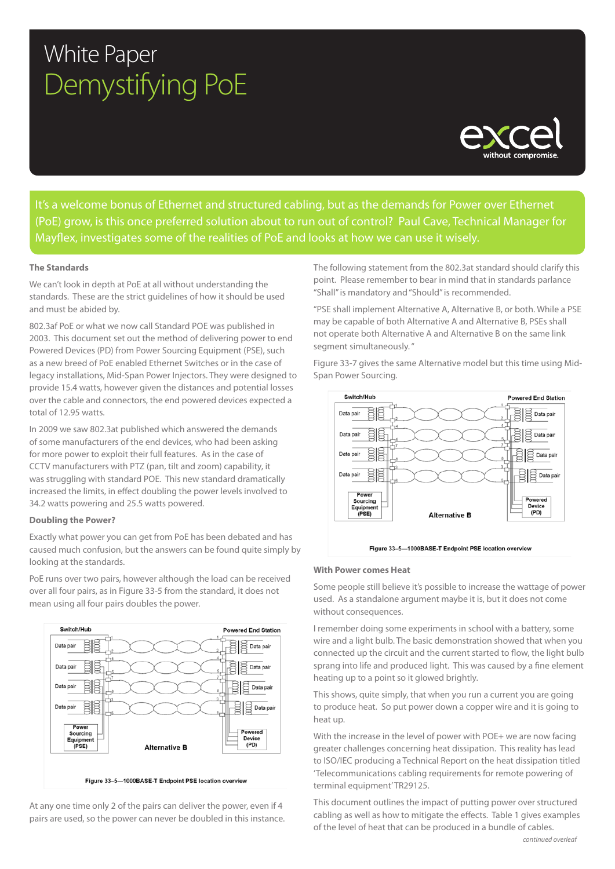# White Paper Demystifying PoE



It's a welcome bonus of Ethernet and structured cabling, but as the demands for Power over Ethernet (PoE) grow, is this once preferred solution about to run out of control? Paul Cave, Technical Manager for Mayflex, investigates some of the realities of PoE and looks at how we can use it wisely.

# **The Standards**

We can't look in depth at PoE at all without understanding the standards. These are the strict guidelines of how it should be used and must be abided by.

802.3af PoE or what we now call Standard POE was published in 2003. This document set out the method of delivering power to end Powered Devices (PD) from Power Sourcing Equipment (PSE), such as a new breed of PoE enabled Ethernet Switches or in the case of legacy installations, Mid-Span Power Injectors. They were designed to provide 15.4 watts, however given the distances and potential losses over the cable and connectors, the end powered devices expected a total of 12.95 watts.

In 2009 we saw 802.3at published which answered the demands of some manufacturers of the end devices, who had been asking for more power to exploit their full features. As in the case of CCTV manufacturers with PTZ (pan, tilt and zoom) capability, it was struggling with standard POE. This new standard dramatically increased the limits, in effect doubling the power levels involved to 34.2 watts powering and 25.5 watts powered.

# **Doubling the Power?**

Exactly what power you can get from PoE has been debated and has caused much confusion, but the answers can be found quite simply by looking at the standards.

PoE runs over two pairs, however although the load can be received over all four pairs, as in Figure 33-5 from the standard, it does not mean using all four pairs doubles the power.



At any one time only 2 of the pairs can deliver the power, even if 4 pairs are used, so the power can never be doubled in this instance. The following statement from the 802.3at standard should clarify this point. Please remember to bear in mind that in standards parlance "Shall" is mandatory and "Should" is recommended.

"PSE shall implement Alternative A, Alternative B, or both. While a PSE may be capable of both Alternative A and Alternative B, PSEs shall not operate both Alternative A and Alternative B on the same link segment simultaneously. "

Figure 33-7 gives the same Alternative model but this time using Mid-Span Power Sourcing.





#### **With Power comes Heat**

Some people still believe it's possible to increase the wattage of power used. As a standalone argument maybe it is, but it does not come without consequences.

I remember doing some experiments in school with a battery, some wire and a light bulb. The basic demonstration showed that when you connected up the circuit and the current started to flow, the light bulb sprang into life and produced light. This was caused by a fine element heating up to a point so it glowed brightly.

This shows, quite simply, that when you run a current you are going to produce heat. So put power down a copper wire and it is going to heat up.

With the increase in the level of power with POE+ we are now facing greater challenges concerning heat dissipation. This reality has lead to ISO/IEC producing a Technical Report on the heat dissipation titled 'Telecommunications cabling requirements for remote powering of terminal equipment' TR29125.

This document outlines the impact of putting power over structured cabling as well as how to mitigate the effects. Table 1 gives examples of the level of heat that can be produced in a bundle of cables.